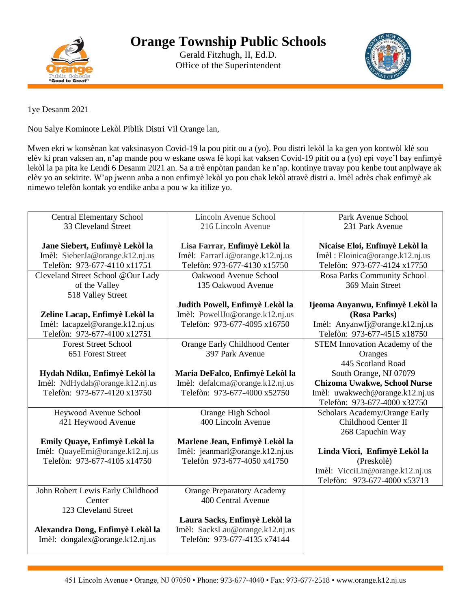

Gerald Fitzhugh, II, Ed.D. Office of the Superintendent



1ye Desanm 2021

Nou Salye Kominote Lekòl Piblik Distri Vil Orange lan,

Mwen ekri w konsènan kat vaksinasyon Covid-19 la pou pitit ou a (yo). Pou distri lekòl la ka gen yon kontwòl klè sou elèv ki pran vaksen an, n'ap mande pou w eskane oswa fè kopi kat vaksen Covid-19 pitit ou a (yo) epi voye'l bay enfimyè lekòl la pa pita ke Lendi 6 Desanm 2021 an. Sa a trè enpòtan pandan ke n'ap. kontinye travay pou kenbe tout anplwaye ak elèv yo an sekirite. W'ap jwenn anba a non enfimyè lekòl yo pou chak lekòl atravè distri a. Imèl adrès chak enfimyè ak nimewo telefòn kontak yo endike anba a pou w ka itilize yo.

| <b>Central Elementary School</b>  | Lincoln Avenue School             | Park Avenue School                    |
|-----------------------------------|-----------------------------------|---------------------------------------|
|                                   |                                   |                                       |
| 33 Cleveland Street               | 216 Lincoln Avenue                | 231 Park Avenue                       |
|                                   |                                   |                                       |
| Jane Siebert, Enfimyè Lekòl la    | Lisa Farrar, Enfimyè Lekòl la     | Nicaise Eloi, Enfimyè Lekòl la        |
| Imèl: SieberJa@orange.k12.nj.us   | Imèl: FarrarLi@orange.k12.nj.us   | Imèl : Eloinica@orange.k12.nj.us      |
| Telefòn: 973-677-4110 x11751      | Telefòn: 973-677-4130 x15750      | Telefòn: 973-677-4124 x17750          |
| Cleveland Street School @Our Lady | Oakwood Avenue School             | Rosa Parks Community School           |
| of the Valley                     | 135 Oakwood Avenue                | 369 Main Street                       |
| 518 Valley Street                 |                                   |                                       |
|                                   | Judith Powell, Enfimyè Lekòl la   | Ijeoma Anyanwu, Enfimyè Lekòl la      |
| Zeline Lacap, Enfimyè Lekòl la    | Imèl: PowellJu@orange.k12.nj.us   | (Rosa Parks)                          |
| Imèl: lacapzel@orange.k12.nj.us   | Telefòn: 973-677-4095 x16750      | Imèl: AnyanwIj@orange.k12.nj.us       |
| Telefòn: 973-677-4100 x12751      |                                   | Telefòn: 973-677-4515 x18750          |
| <b>Forest Street School</b>       | Orange Early Childhood Center     | <b>STEM Innovation Academy of the</b> |
| 651 Forest Street                 | 397 Park Avenue                   | Oranges                               |
|                                   |                                   | 445 Scotland Road                     |
| Hydah Ndiku, Enfimyè Lekòl la     | Maria DeFalco, Enfimyè Lekòl la   | South Orange, NJ 07079                |
| Imèl: NdHydah@orange.k12.nj.us    | Imèl: defalcma@orange.k12.nj.us   | Chizoma Uwakwe, School Nurse          |
| Telefòn: 973-677-4120 x13750      | Telefòn: 973-677-4000 x52750      | Imèl: uwakwech@orange.k12.nj.us       |
|                                   |                                   | Telefòn: 973-677-4000 x32750          |
| Heywood Avenue School             | Orange High School                | Scholars Academy/Orange Early         |
| 421 Heywood Avenue                | 400 Lincoln Avenue                | Childhood Center II                   |
|                                   |                                   |                                       |
|                                   |                                   | 268 Capuchin Way                      |
| Emily Quaye, Enfimyè Lekòl la     | Marlene Jean, Enfimyè Lekòl la    |                                       |
| Imèl: QuayeEmi@orange.k12.nj.us   | Imèl: jeanmarl@orange.k12.nj.us   | Linda Vicci, Enfimyè Lekòl la         |
| Telefòn: 973-677-4105 x14750      | Telefòn 973-677-4050 x41750       | (Preskolè)                            |
|                                   |                                   | Imèl: VicciLin@orange.k12.nj.us       |
|                                   |                                   | Telefòn: 973-677-4000 x53713          |
| John Robert Lewis Early Childhood | <b>Orange Preparatory Academy</b> |                                       |
| Center                            | 400 Central Avenue                |                                       |
| 123 Cleveland Street              |                                   |                                       |
|                                   | Laura Sacks, Enfimyè Lekòl la     |                                       |
| Alexandra Dong, Enfimyè Lekòl la  | Imèl: SacksLau@orange.k12.nj.us   |                                       |
| Imèl: dongalex@orange.k12.nj.us   | Telefòn: 973-677-4135 x74144      |                                       |
|                                   |                                   |                                       |